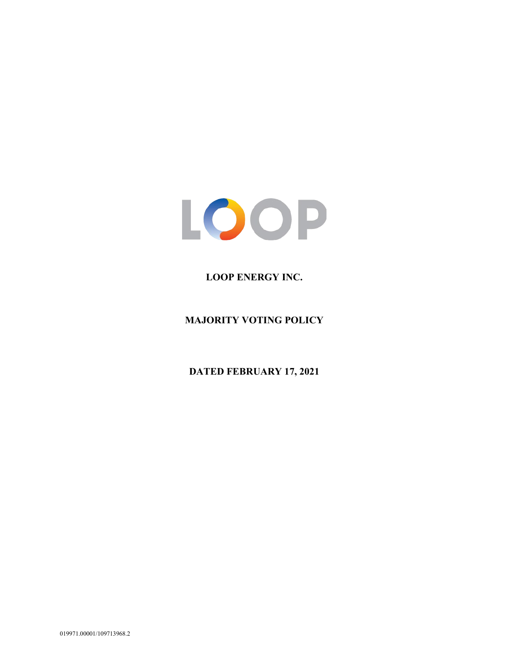

## **LOOP ENERGY INC.**

**MAJORITY VOTING POLICY**

**DATED FEBRUARY 17, 2021**